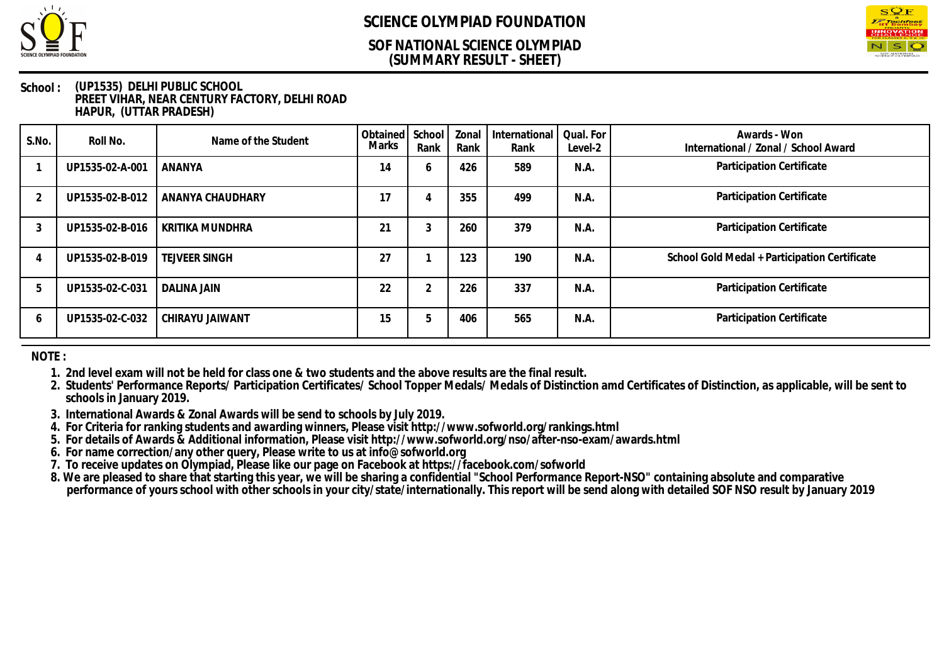

### **(SUMMARY RESULT - SHEET) SOF NATIONAL SCIENCE OLYMPIAD**



#### **School : (UP1535) DELHI PUBLIC SCHOOL PREET VIHAR, NEAR CENTURY FACTORY, DELHI ROAD HAPUR, (UTTAR PRADESH)**

| S.No.        | Roll No.        | Name of the Student  | Obtained School<br>Marks | Rank   | Zonal<br>Rank | International<br>Rank | Qual. For<br>Level-2 | Awards - Won<br>International / Zonal / School Award |
|--------------|-----------------|----------------------|--------------------------|--------|---------------|-----------------------|----------------------|------------------------------------------------------|
|              | UP1535-02-A-001 | ANANYA               | 14                       | O      | 426           | 589                   | N.A.                 | Participation Certificate                            |
|              | UP1535-02-B-012 | ANANYA CHAUDHARY     | 17                       |        | 355           | 499                   | N.A.                 | Participation Certificate                            |
|              | UP1535-02-B-016 | KRITIKA MUNDHRA      | 21                       |        | 260           | 379                   | N.A.                 | Participation Certificate                            |
|              | UP1535-02-B-019 | <b>TEJVEER SINGH</b> | 27                       |        | 123           | 190                   | N.A.                 | School Gold Medal + Participation Certificate        |
|              | UP1535-02-C-031 | <b>DALINA JAIN</b>   | 22                       | $\sim$ | 226           | 337                   | N.A.                 | Participation Certificate                            |
| <sub>0</sub> | UP1535-02-C-032 | CHIRAYU JAIWANT      | 15                       | b      | 406           | 565                   | N.A.                 | Participation Certificate                            |

**NOTE :**

**1. 2nd level exam will not be held for class one & two students and the above results are the final result.**

**2. Students' Performance Reports/ Participation Certificates/ School Topper Medals/ Medals of Distinction amd Certificates of Distinction, as applicable, will be sent to schools in January 2019.**

**3. International Awards & Zonal Awards will be send to schools by July 2019.**

**4. For Criteria for ranking students and awarding winners, Please visit http://www.sofworld.org/rankings.html**

**5. For details of Awards & Additional information, Please visit http://www.sofworld.org/nso/after-nso-exam/awards.html**

**6. For name correction/any other query, Please write to us at info@sofworld.org**

**7. To receive updates on Olympiad, Please like our page on Facebook at https://facebook.com/sofworld**

**8. We are pleased to share that starting this year, we will be sharing a confidential "School Performance Report-NSO" containing absolute and comparative performance of yours school with other schools in your city/state/internationally. This report will be send along with detailed SOF NSO result by January 2019**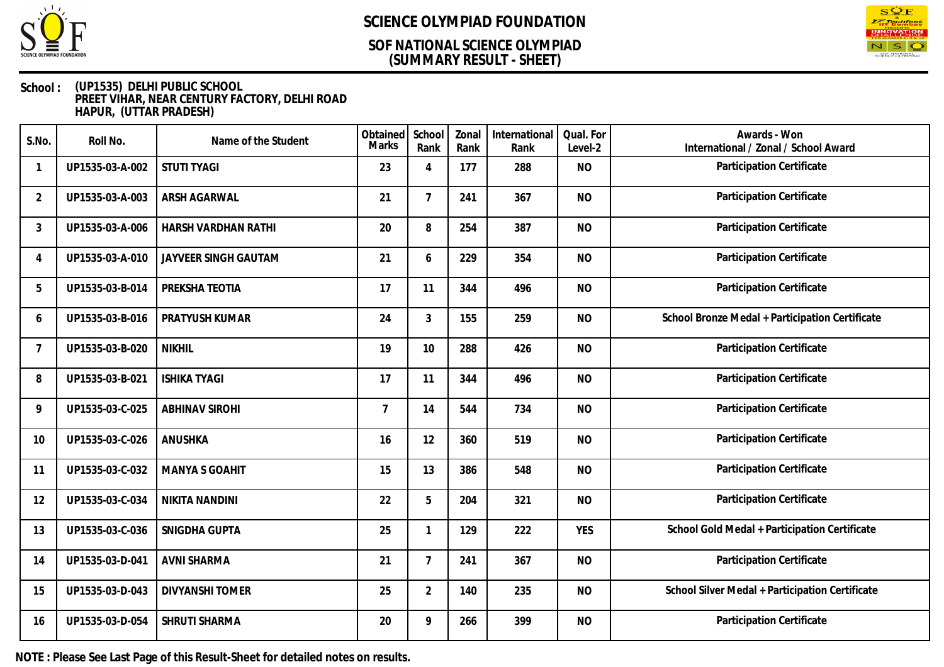

### **(SUMMARY RESULT - SHEET) SOF NATIONAL SCIENCE OLYMPIAD**



#### **School : (UP1535) DELHI PUBLIC SCHOOL PREET VIHAR, NEAR CENTURY FACTORY, DELHI ROAD HAPUR, (UTTAR PRADESH)**

| S.No.                    | Roll No.        | Name of the Student    | Obtained<br><b>Marks</b> | School<br>Rank | Zonal<br>Rank | International<br>Rank | Qual. For<br>Level-2 | Awards - Won<br>International / Zonal / School Award |
|--------------------------|-----------------|------------------------|--------------------------|----------------|---------------|-----------------------|----------------------|------------------------------------------------------|
| 1                        | UP1535-03-A-002 | <b>STUTI TYAGI</b>     | 23                       | $\overline{A}$ | 177           | 288                   | <b>NO</b>            | Participation Certificate                            |
| $\overline{2}$           | UP1535-03-A-003 | ARSH AGARWAL           | 21                       | $\overline{7}$ | 241           | 367                   | <b>NO</b>            | Participation Certificate                            |
| 3                        | UP1535-03-A-006 | HARSH VARDHAN RATHI    | 20                       | 8              | 254           | 387                   | <b>NO</b>            | Participation Certificate                            |
| $\boldsymbol{\varDelta}$ | UP1535-03-A-010 | JAYVEER SINGH GAUTAM   | 21                       | 6              | 229           | 354                   | <b>NO</b>            | Participation Certificate                            |
| 5                        | UP1535-03-B-014 | PREKSHA TEOTIA         | 17                       | 11             | 344           | 496                   | <b>NO</b>            | Participation Certificate                            |
| 6                        | UP1535-03-B-016 | PRATYUSH KUMAR         | 24                       | 3              | 155           | 259                   | <b>NO</b>            | School Bronze Medal + Participation Certificate      |
| $\overline{7}$           | UP1535-03-B-020 | <b>NIKHIL</b>          | 19                       | 10             | 288           | 426                   | <b>NO</b>            | Participation Certificate                            |
| 8                        | UP1535-03-B-021 | <b>ISHIKA TYAGI</b>    | 17                       | 11             | 344           | 496                   | <b>NO</b>            | Participation Certificate                            |
| 9                        | UP1535-03-C-025 | <b>ABHINAV SIROHI</b>  | $\overline{7}$           | 14             | 544           | 734                   | <b>NO</b>            | Participation Certificate                            |
| 10                       | UP1535-03-C-026 | <b>ANUSHKA</b>         | 16                       | 12             | 360           | 519                   | <b>NO</b>            | Participation Certificate                            |
| 11                       | UP1535-03-C-032 | <b>MANYA S GOAHIT</b>  | 15                       | 13             | 386           | 548                   | <b>NO</b>            | Participation Certificate                            |
| 12                       | UP1535-03-C-034 | NIKITA NANDINI         | 22                       | 5              | 204           | 321                   | <b>NO</b>            | Participation Certificate                            |
| 13                       | UP1535-03-C-036 | SNIGDHA GUPTA          | 25                       | -1             | 129           | 222                   | <b>YES</b>           | School Gold Medal + Participation Certificate        |
| 14                       | UP1535-03-D-041 | <b>AVNI SHARMA</b>     | 21                       | $\overline{7}$ | 241           | 367                   | <b>NO</b>            | Participation Certificate                            |
| 15                       | UP1535-03-D-043 | <b>DIVYANSHI TOMER</b> | 25                       | $\overline{2}$ | 140           | 235                   | <b>NO</b>            | School Silver Medal + Participation Certificate      |
| 16                       | UP1535-03-D-054 | SHRUTI SHARMA          | 20                       | 9              | 266           | 399                   | <b>NO</b>            | Participation Certificate                            |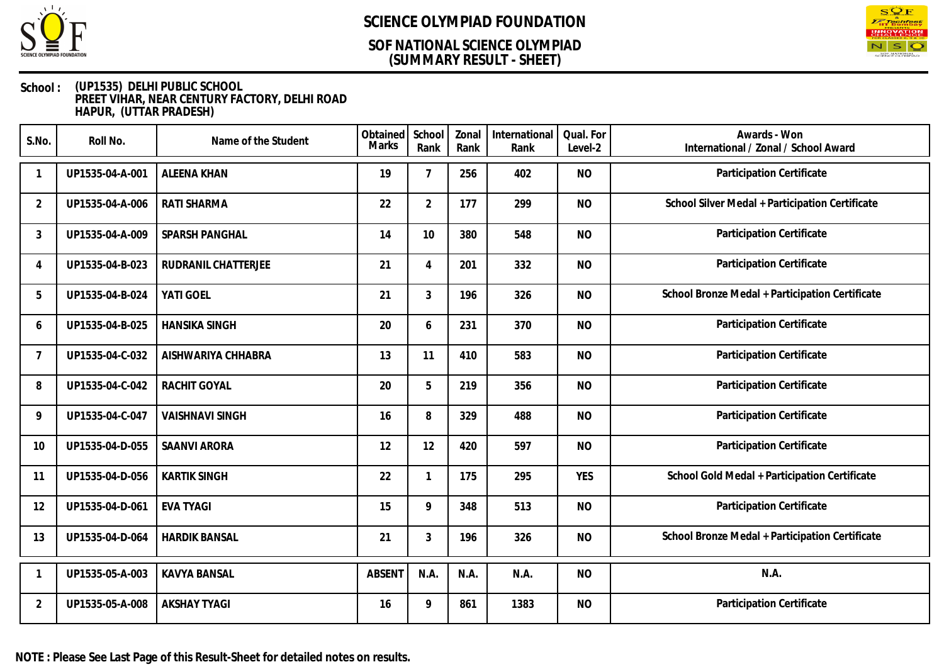

### **(SUMMARY RESULT - SHEET) SOF NATIONAL SCIENCE OLYMPIAD**



#### **School : (UP1535) DELHI PUBLIC SCHOOL PREET VIHAR, NEAR CENTURY FACTORY, DELHI ROAD HAPUR, (UTTAR PRADESH)**

| S.No.          | Roll No.        | Name of the Student    | Obtained<br>Marks | School<br>Rank | Zonal<br>Rank | International<br>Rank | Qual. For<br>Level-2 | Awards - Won<br>International / Zonal / School Award |
|----------------|-----------------|------------------------|-------------------|----------------|---------------|-----------------------|----------------------|------------------------------------------------------|
|                | UP1535-04-A-001 | <b>ALEENA KHAN</b>     | 19                | $\overline{7}$ | 256           | 402                   | <b>NO</b>            | Participation Certificate                            |
| $\overline{2}$ | UP1535-04-A-006 | RATI SHARMA            | 22                | $\overline{2}$ | 177           | 299                   | <b>NO</b>            | School Silver Medal + Participation Certificate      |
| 3              | UP1535-04-A-009 | SPARSH PANGHAL         | 14                | 10             | 380           | 548                   | <b>NO</b>            | Participation Certificate                            |
| 4              | UP1535-04-B-023 | RUDRANIL CHATTERJEE    | 21                | 4              | 201           | 332                   | <b>NO</b>            | Participation Certificate                            |
| 5              | UP1535-04-B-024 | YATI GOEL              | 21                | 3              | 196           | 326                   | <b>NO</b>            | School Bronze Medal + Participation Certificate      |
| 6              | UP1535-04-B-025 | <b>HANSIKA SINGH</b>   | 20                | 6              | 231           | 370                   | <b>NO</b>            | Participation Certificate                            |
| 7              | UP1535-04-C-032 | AISHWARIYA CHHABRA     | 13                | 11             | 410           | 583                   | <b>NO</b>            | Participation Certificate                            |
| 8              | UP1535-04-C-042 | RACHIT GOYAL           | 20                | 5              | 219           | 356                   | <b>NO</b>            | Participation Certificate                            |
| 9              | UP1535-04-C-047 | <b>VAISHNAVI SINGH</b> | 16                | 8              | 329           | 488                   | <b>NO</b>            | Participation Certificate                            |
| 10             | UP1535-04-D-055 | <b>SAANVI ARORA</b>    | 12                | 12             | 420           | 597                   | <b>NO</b>            | Participation Certificate                            |
| 11             | UP1535-04-D-056 | <b>KARTIK SINGH</b>    | 22                | $\mathbf 1$    | 175           | 295                   | <b>YES</b>           | School Gold Medal + Participation Certificate        |
| 12             | UP1535-04-D-061 | <b>EVA TYAGI</b>       | 15                | 9              | 348           | 513                   | <b>NO</b>            | Participation Certificate                            |
| 13             | UP1535-04-D-064 | <b>HARDIK BANSAL</b>   | 21                | 3              | 196           | 326                   | <b>NO</b>            | School Bronze Medal + Participation Certificate      |
|                | UP1535-05-A-003 | <b>KAVYA BANSAL</b>    | <b>ABSENT</b>     | N.A.           | N.A.          | N.A.                  | <b>NO</b>            | N.A.                                                 |
| $\overline{2}$ | UP1535-05-A-008 | <b>AKSHAY TYAGI</b>    | 16                | 9              | 861           | 1383                  | <b>NO</b>            | Participation Certificate                            |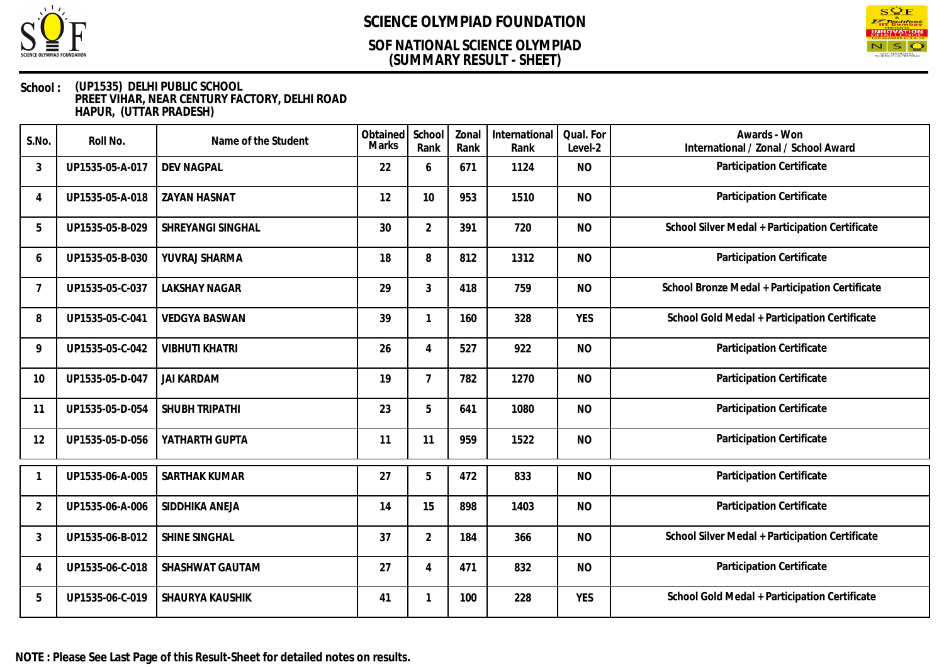

### **(SUMMARY RESULT - SHEET) SOF NATIONAL SCIENCE OLYMPIAD**



| S.No.          | Roll No.        | Name of the Student   | Obtained<br><b>Marks</b> | School<br>Rank | Zonal<br>Rank | International<br>Rank | Qual. For<br>Level-2 | Awards - Won<br>International / Zonal / School Award |
|----------------|-----------------|-----------------------|--------------------------|----------------|---------------|-----------------------|----------------------|------------------------------------------------------|
| 3              | UP1535-05-A-017 | <b>DEV NAGPAL</b>     | 22                       | 6              | 671           | 1124                  | <b>NO</b>            | Participation Certificate                            |
| $\overline{4}$ | UP1535-05-A-018 | <b>ZAYAN HASNAT</b>   | 12                       | 10             | 953           | 1510                  | <b>NO</b>            | Participation Certificate                            |
| 5              | UP1535-05-B-029 | SHREYANGI SINGHAL     | 30                       | $\overline{2}$ | 391           | 720                   | <b>NO</b>            | School Silver Medal + Participation Certificate      |
| 6              | UP1535-05-B-030 | YUVRAJ SHARMA         | 18                       | 8              | 812           | 1312                  | <b>NO</b>            | Participation Certificate                            |
| 7              | UP1535-05-C-037 | <b>LAKSHAY NAGAR</b>  | 29                       | 3              | 418           | 759                   | <b>NO</b>            | School Bronze Medal + Participation Certificate      |
| 8              | UP1535-05-C-041 | <b>VEDGYA BASWAN</b>  | 39                       |                | 160           | 328                   | <b>YES</b>           | School Gold Medal + Participation Certificate        |
| 9              | UP1535-05-C-042 | <b>VIBHUTI KHATRI</b> | 26                       | $\overline{4}$ | 527           | 922                   | <b>NO</b>            | Participation Certificate                            |
| 10             | UP1535-05-D-047 | <b>JAI KARDAM</b>     | 19                       | $\overline{7}$ | 782           | 1270                  | <b>NO</b>            | Participation Certificate                            |
| 11             | UP1535-05-D-054 | SHUBH TRIPATHI        | 23                       | 5              | 641           | 1080                  | <b>NO</b>            | Participation Certificate                            |
| 12             | UP1535-05-D-056 | YATHARTH GUPTA        | 11                       | 11             | 959           | 1522                  | <b>NO</b>            | Participation Certificate                            |
|                | UP1535-06-A-005 | <b>SARTHAK KUMAR</b>  | 27                       | 5              | 472           | 833                   | <b>NO</b>            | Participation Certificate                            |
| 2              | UP1535-06-A-006 | SIDDHIKA ANEJA        | 14                       | 15             | 898           | 1403                  | <b>NO</b>            | Participation Certificate                            |
| 3              | UP1535-06-B-012 | SHINE SINGHAL         | 37                       | $\overline{2}$ | 184           | 366                   | <b>NO</b>            | School Silver Medal + Participation Certificate      |
| $\overline{4}$ | UP1535-06-C-018 | SHASHWAT GAUTAM       | 27                       | $\overline{4}$ | 471           | 832                   | <b>NO</b>            | Participation Certificate                            |
| 5              | UP1535-06-C-019 | SHAURYA KAUSHIK       | 41                       |                | 100           | 228                   | <b>YES</b>           | School Gold Medal + Participation Certificate        |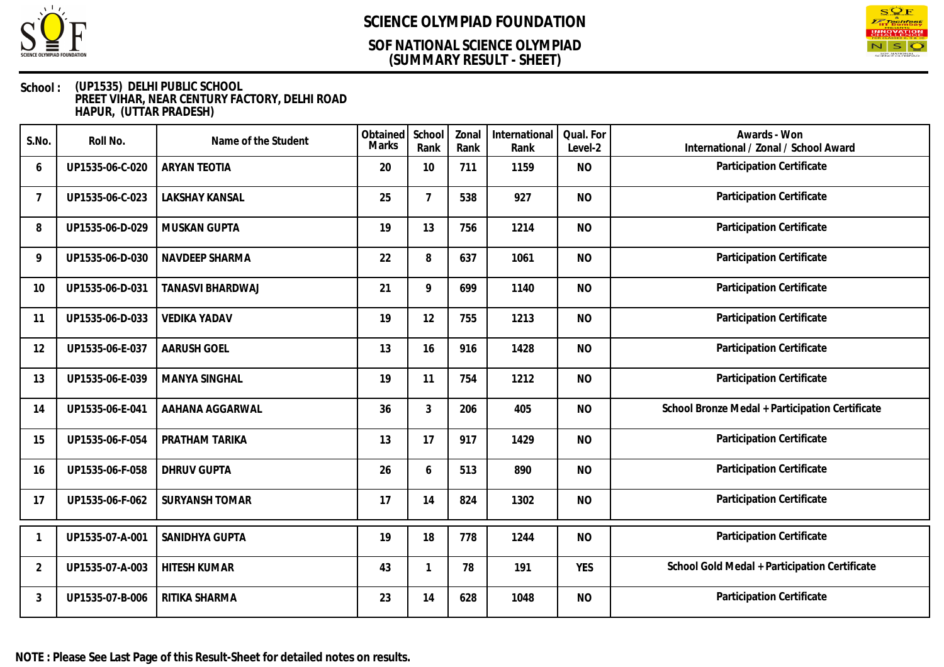

### **(SUMMARY RESULT - SHEET) SOF NATIONAL SCIENCE OLYMPIAD**



| S.No.          | Roll No.        | Name of the Student   | Obtained<br><b>Marks</b> | School<br>Rank  | Zonal<br>Rank | International<br>Rank | Qual. For<br>Level-2 | Awards - Won<br>International / Zonal / School Award |
|----------------|-----------------|-----------------------|--------------------------|-----------------|---------------|-----------------------|----------------------|------------------------------------------------------|
| 6              | UP1535-06-C-020 | <b>ARYAN TEOTIA</b>   | 20                       | 10              | 711           | 1159                  | <b>NO</b>            | Participation Certificate                            |
| 7              | UP1535-06-C-023 | <b>LAKSHAY KANSAL</b> | 25                       | $7\overline{ }$ | 538           | 927                   | <b>NO</b>            | Participation Certificate                            |
| 8              | UP1535-06-D-029 | <b>MUSKAN GUPTA</b>   | 19                       | 13              | 756           | 1214                  | <b>NO</b>            | Participation Certificate                            |
| 9              | UP1535-06-D-030 | NAVDEEP SHARMA        | 22                       | 8               | 637           | 1061                  | <b>NO</b>            | Participation Certificate                            |
| 10             | UP1535-06-D-031 | TANASVI BHARDWAJ      | 21                       | 9               | 699           | 1140                  | <b>NO</b>            | Participation Certificate                            |
| 11             | UP1535-06-D-033 | <b>VEDIKA YADAV</b>   | 19                       | 12              | 755           | 1213                  | <b>NO</b>            | Participation Certificate                            |
| 12             | UP1535-06-E-037 | <b>AARUSH GOEL</b>    | 13                       | 16              | 916           | 1428                  | <b>NO</b>            | Participation Certificate                            |
| 13             | UP1535-06-E-039 | <b>MANYA SINGHAL</b>  | 19                       | 11              | 754           | 1212                  | <b>NO</b>            | Participation Certificate                            |
| 14             | UP1535-06-E-041 | AAHANA AGGARWAL       | 36                       | 3               | 206           | 405                   | <b>NO</b>            | School Bronze Medal + Participation Certificate      |
| 15             | UP1535-06-F-054 | PRATHAM TARIKA        | 13                       | 17              | 917           | 1429                  | <b>NO</b>            | Participation Certificate                            |
| 16             | UP1535-06-F-058 | <b>DHRUV GUPTA</b>    | 26                       | 6               | 513           | 890                   | <b>NO</b>            | Participation Certificate                            |
| 17             | UP1535-06-F-062 | <b>SURYANSH TOMAR</b> | 17                       | 14              | 824           | 1302                  | <b>NO</b>            | Participation Certificate                            |
|                | UP1535-07-A-001 | SANIDHYA GUPTA        | 19                       | 18              | 778           | 1244                  | <b>NO</b>            | Participation Certificate                            |
| $\overline{2}$ | UP1535-07-A-003 | <b>HITESH KUMAR</b>   | 43                       |                 | 78            | 191                   | <b>YES</b>           | School Gold Medal + Participation Certificate        |
| 3              | UP1535-07-B-006 | RITIKA SHARMA         | 23                       | 14              | 628           | 1048                  | <b>NO</b>            | Participation Certificate                            |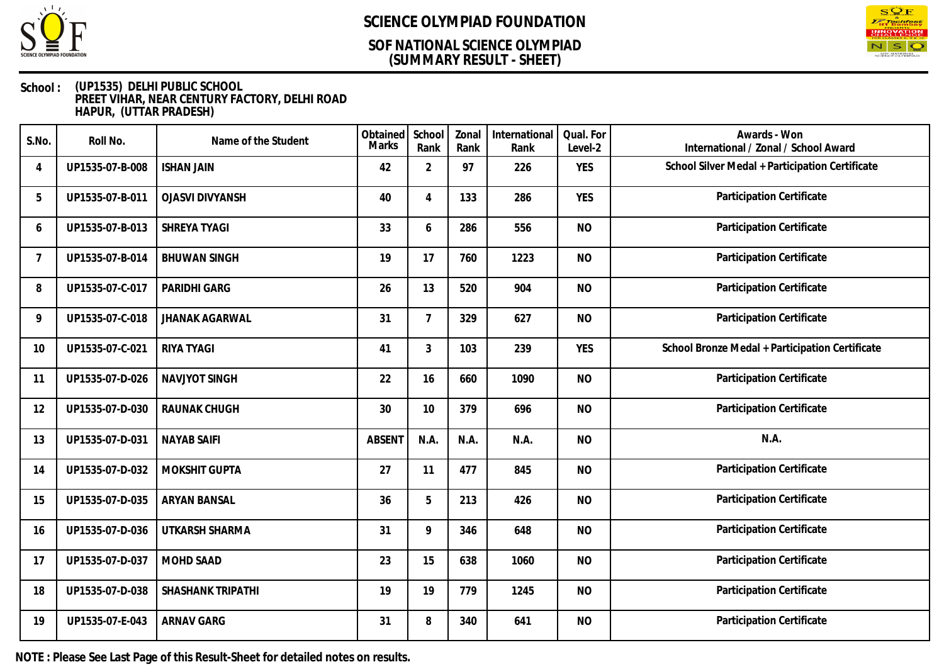

### **(SUMMARY RESULT - SHEET) SOF NATIONAL SCIENCE OLYMPIAD**



#### **School : (UP1535) DELHI PUBLIC SCHOOL PREET VIHAR, NEAR CENTURY FACTORY, DELHI ROAD HAPUR, (UTTAR PRADESH)**

| S.No.          | Roll No.        | Name of the Student    | Obtained<br>Marks | School<br>Rank | Zonal<br>Rank | International<br>Rank | Qual. For<br>Level-2 | Awards - Won<br>International / Zonal / School Award |
|----------------|-----------------|------------------------|-------------------|----------------|---------------|-----------------------|----------------------|------------------------------------------------------|
| $\overline{4}$ | UP1535-07-B-008 | <b>ISHAN JAIN</b>      | 42                | $\overline{2}$ | 97            | 226                   | <b>YES</b>           | School Silver Medal + Participation Certificate      |
| 5              | UP1535-07-B-011 | <b>OJASVI DIVYANSH</b> | 40                | $\overline{4}$ | 133           | 286                   | <b>YES</b>           | Participation Certificate                            |
| 6              | UP1535-07-B-013 | SHREYA TYAGI           | 33                | 6              | 286           | 556                   | <b>NO</b>            | Participation Certificate                            |
| $\overline{7}$ | UP1535-07-B-014 | <b>BHUWAN SINGH</b>    | 19                | 17             | 760           | 1223                  | <b>NO</b>            | Participation Certificate                            |
| 8              | UP1535-07-C-017 | <b>PARIDHI GARG</b>    | 26                | 13             | 520           | 904                   | <b>NO</b>            | Participation Certificate                            |
| 9              | UP1535-07-C-018 | <b>JHANAK AGARWAL</b>  | 31                | $\overline{7}$ | 329           | 627                   | <b>NO</b>            | Participation Certificate                            |
| 10             | UP1535-07-C-021 | RIYA TYAGI             | 41                | 3              | 103           | 239                   | <b>YES</b>           | School Bronze Medal + Participation Certificate      |
| 11             | UP1535-07-D-026 | <b>NAVJYOT SINGH</b>   | 22                | 16             | 660           | 1090                  | <b>NO</b>            | Participation Certificate                            |
| 12             | UP1535-07-D-030 | <b>RAUNAK CHUGH</b>    | 30                | 10             | 379           | 696                   | <b>NO</b>            | Participation Certificate                            |
| 13             | UP1535-07-D-031 | <b>NAYAB SAIFI</b>     | <b>ABSENT</b>     | N.A.           | N.A.          | N.A.                  | <b>NO</b>            | N.A.                                                 |
| 14             | UP1535-07-D-032 | MOKSHIT GUPTA          | 27                | 11             | 477           | 845                   | <b>NO</b>            | Participation Certificate                            |
| 15             | UP1535-07-D-035 | <b>ARYAN BANSAL</b>    | 36                | 5              | 213           | 426                   | <b>NO</b>            | Participation Certificate                            |
| 16             | UP1535-07-D-036 | UTKARSH SHARMA         | 31                | 9              | 346           | 648                   | <b>NO</b>            | Participation Certificate                            |
| 17             | UP1535-07-D-037 | <b>MOHD SAAD</b>       | 23                | 15             | 638           | 1060                  | <b>NO</b>            | Participation Certificate                            |
| 18             | UP1535-07-D-038 | SHASHANK TRIPATHI      | 19                | 19             | 779           | 1245                  | <b>NO</b>            | Participation Certificate                            |
| 19             | UP1535-07-E-043 | <b>ARNAV GARG</b>      | 31                | 8              | 340           | 641                   | <b>NO</b>            | Participation Certificate                            |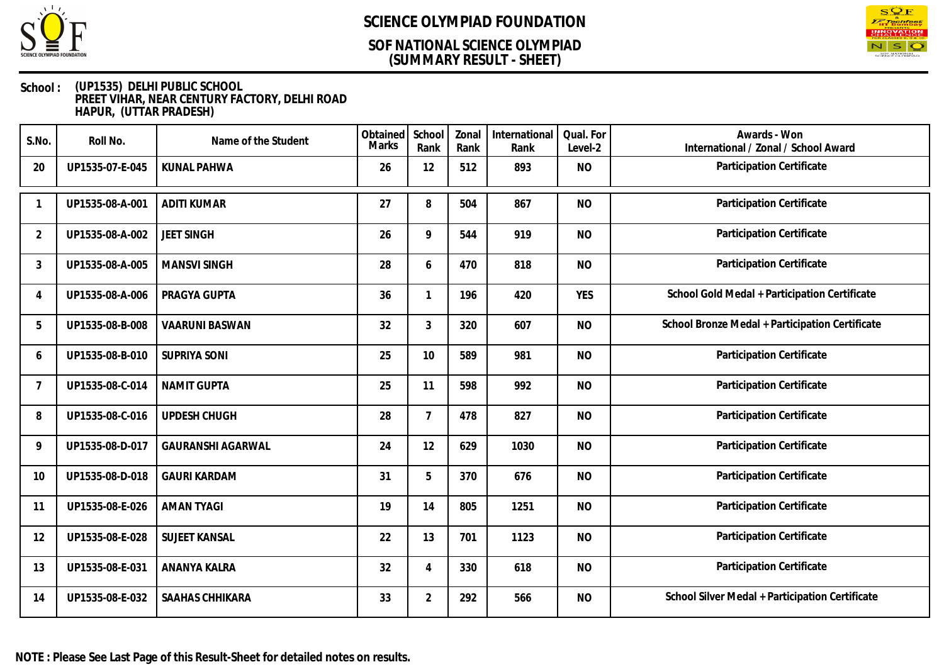

### **(SUMMARY RESULT - SHEET) SOF NATIONAL SCIENCE OLYMPIAD**



| S.No.          | Roll No.        | Name of the Student      | Obtained<br>Marks | School<br>Rank | Zonal<br>Rank | International<br>Rank | Qual. For<br>Level-2 | Awards - Won<br>International / Zonal / School Award |
|----------------|-----------------|--------------------------|-------------------|----------------|---------------|-----------------------|----------------------|------------------------------------------------------|
| 20             | UP1535-07-E-045 | <b>KUNAL PAHWA</b>       | 26                | 12             | 512           | 893                   | <b>NO</b>            | Participation Certificate                            |
|                | UP1535-08-A-001 | <b>ADITI KUMAR</b>       | 27                | 8              | 504           | 867                   | <b>NO</b>            | Participation Certificate                            |
| $\overline{2}$ | UP1535-08-A-002 | <b>JEET SINGH</b>        | 26                | 9              | 544           | 919                   | <b>NO</b>            | Participation Certificate                            |
| 3              | UP1535-08-A-005 | <b>MANSVI SINGH</b>      | 28                | 6              | 470           | 818                   | <b>NO</b>            | Participation Certificate                            |
| $\overline{4}$ | UP1535-08-A-006 | PRAGYA GUPTA             | 36                | $\mathbf{1}$   | 196           | 420                   | <b>YES</b>           | School Gold Medal + Participation Certificate        |
| 5              | UP1535-08-B-008 | <b>VAARUNI BASWAN</b>    | 32                | 3              | 320           | 607                   | <b>NO</b>            | School Bronze Medal + Participation Certificate      |
| 6              | UP1535-08-B-010 | <b>SUPRIYA SONI</b>      | 25                | 10             | 589           | 981                   | <b>NO</b>            | Participation Certificate                            |
| 7              | UP1535-08-C-014 | <b>NAMIT GUPTA</b>       | 25                | 11             | 598           | 992                   | <b>NO</b>            | Participation Certificate                            |
| 8              | UP1535-08-C-016 | UPDESH CHUGH             | 28                | $\overline{7}$ | 478           | 827                   | <b>NO</b>            | Participation Certificate                            |
| 9              | UP1535-08-D-017 | <b>GAURANSHI AGARWAL</b> | 24                | 12             | 629           | 1030                  | <b>NO</b>            | Participation Certificate                            |
| 10             | UP1535-08-D-018 | <b>GAURI KARDAM</b>      | 31                | 5              | 370           | 676                   | <b>NO</b>            | Participation Certificate                            |
| 11             | UP1535-08-E-026 | <b>AMAN TYAGI</b>        | 19                | 14             | 805           | 1251                  | <b>NO</b>            | <b>Participation Certificate</b>                     |
| 12             | UP1535-08-E-028 | <b>SUJEET KANSAL</b>     | 22                | 13             | 701           | 1123                  | <b>NO</b>            | Participation Certificate                            |
| 13             | UP1535-08-E-031 | ANANYA KALRA             | 32                | $\overline{4}$ | 330           | 618                   | <b>NO</b>            | Participation Certificate                            |
| 14             | UP1535-08-E-032 | SAAHAS CHHIKARA          | 33                | $\overline{2}$ | 292           | 566                   | <b>NO</b>            | School Silver Medal + Participation Certificate      |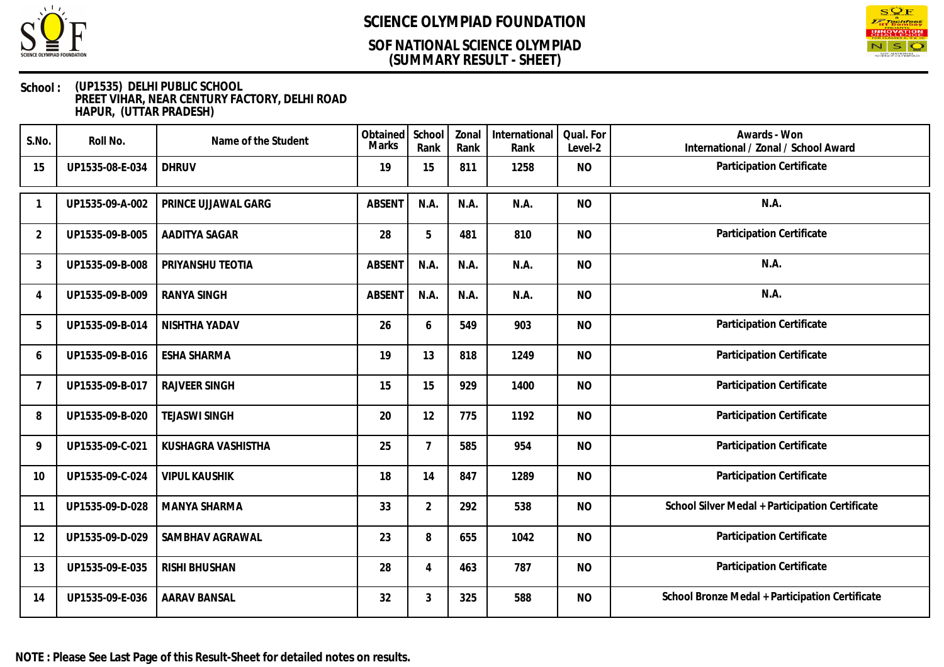

### **(SUMMARY RESULT - SHEET) SOF NATIONAL SCIENCE OLYMPIAD**



| S.No.          | Roll No.        | Name of the Student  | Obtained<br>Marks | School<br>Rank | Zonal<br>Rank | International<br>Rank | Qual. For<br>Level-2 | Awards - Won<br>International / Zonal / School Award |
|----------------|-----------------|----------------------|-------------------|----------------|---------------|-----------------------|----------------------|------------------------------------------------------|
| 15             | UP1535-08-E-034 | <b>DHRUV</b>         | 19                | 15             | 811           | 1258                  | <b>NO</b>            | Participation Certificate                            |
| -1             | UP1535-09-A-002 | PRINCE UJJAWAL GARG  | <b>ABSENT</b>     | N.A.           | N.A.          | N.A.                  | <b>NO</b>            | N.A.                                                 |
| 2              | UP1535-09-B-005 | AADITYA SAGAR        | 28                | 5              | 481           | 810                   | <b>NO</b>            | Participation Certificate                            |
| 3              | UP1535-09-B-008 | PRIYANSHU TEOTIA     | <b>ABSENT</b>     | N.A.           | N.A.          | N.A.                  | <b>NO</b>            | N.A.                                                 |
| $\overline{4}$ | UP1535-09-B-009 | <b>RANYA SINGH</b>   | <b>ABSENT</b>     | N.A.           | N.A.          | N.A.                  | <b>NO</b>            | N.A.                                                 |
| 5              | UP1535-09-B-014 | NISHTHA YADAV        | 26                | 6              | 549           | 903                   | <b>NO</b>            | Participation Certificate                            |
| 6              | UP1535-09-B-016 | <b>ESHA SHARMA</b>   | 19                | 13             | 818           | 1249                  | <b>NO</b>            | Participation Certificate                            |
| 7              | UP1535-09-B-017 | <b>RAJVEER SINGH</b> | 15                | 15             | 929           | 1400                  | <b>NO</b>            | Participation Certificate                            |
| 8              | UP1535-09-B-020 | <b>TEJASWI SINGH</b> | 20                | 12             | 775           | 1192                  | <b>NO</b>            | Participation Certificate                            |
| 9              | UP1535-09-C-021 | KUSHAGRA VASHISTHA   | 25                | 7              | 585           | 954                   | <b>NO</b>            | Participation Certificate                            |
| 10             | UP1535-09-C-024 | <b>VIPUL KAUSHIK</b> | 18                | 14             | 847           | 1289                  | <b>NO</b>            | Participation Certificate                            |
| 11             | UP1535-09-D-028 | MANYA SHARMA         | 33                | $\overline{2}$ | 292           | 538                   | <b>NO</b>            | School Silver Medal + Participation Certificate      |
| 12             | UP1535-09-D-029 | SAMBHAV AGRAWAL      | 23                | 8              | 655           | 1042                  | <b>NO</b>            | Participation Certificate                            |
| 13             | UP1535-09-E-035 | RISHI BHUSHAN        | 28                | 4              | 463           | 787                   | <b>NO</b>            | Participation Certificate                            |
| 14             | UP1535-09-E-036 | <b>AARAV BANSAL</b>  | 32                | 3              | 325           | 588                   | <b>NO</b>            | School Bronze Medal + Participation Certificate      |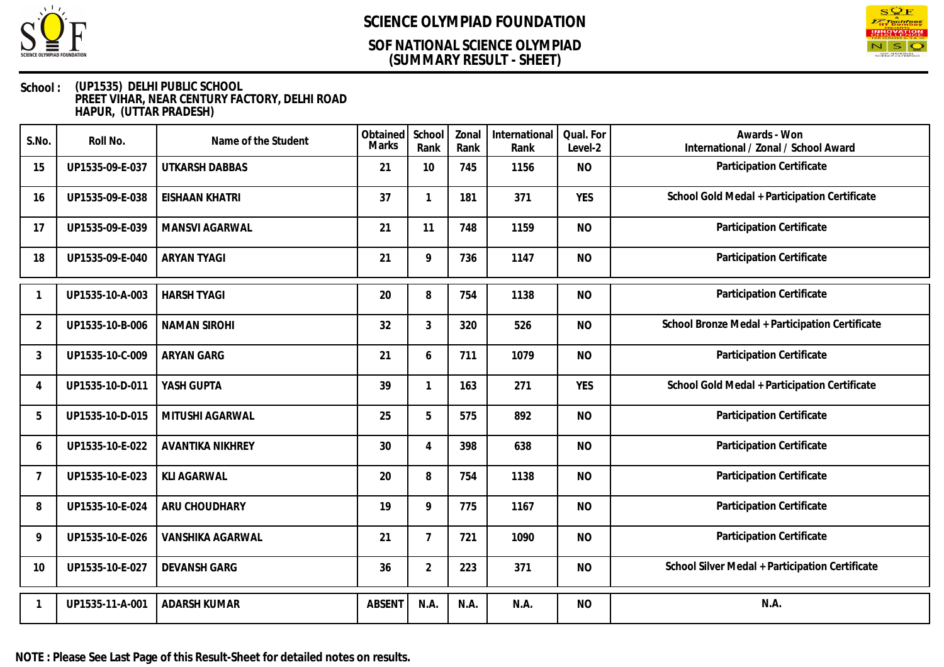

### **(SUMMARY RESULT - SHEET) SOF NATIONAL SCIENCE OLYMPIAD**



| S.No.          | Roll No.        | Name of the Student     | Obtained<br>Marks | School<br>Rank | Zonal<br>Rank | International<br>Rank | Qual. For<br>Level-2 | Awards - Won<br>International / Zonal / School Award |
|----------------|-----------------|-------------------------|-------------------|----------------|---------------|-----------------------|----------------------|------------------------------------------------------|
| 15             | UP1535-09-E-037 | <b>UTKARSH DABBAS</b>   | 21                | 10             | 745           | 1156                  | <b>NO</b>            | Participation Certificate                            |
| 16             | UP1535-09-E-038 | <b>EISHAAN KHATRI</b>   | 37                | $\mathbf{1}$   | 181           | 371                   | <b>YES</b>           | School Gold Medal + Participation Certificate        |
| 17             | UP1535-09-E-039 | MANSVI AGARWAL          | 21                | 11             | 748           | 1159                  | <b>NO</b>            | Participation Certificate                            |
| 18             | UP1535-09-E-040 | <b>ARYAN TYAGI</b>      | 21                | 9              | 736           | 1147                  | <b>NO</b>            | Participation Certificate                            |
|                | UP1535-10-A-003 | <b>HARSH TYAGI</b>      | 20                | 8              | 754           | 1138                  | <b>NO</b>            | Participation Certificate                            |
| $\overline{2}$ | UP1535-10-B-006 | <b>NAMAN SIROHI</b>     | 32                | 3              | 320           | 526                   | <b>NO</b>            | School Bronze Medal + Participation Certificate      |
| 3              | UP1535-10-C-009 | <b>ARYAN GARG</b>       | 21                | 6              | 711           | 1079                  | <b>NO</b>            | Participation Certificate                            |
| 4              | UP1535-10-D-011 | YASH GUPTA              | 39                | $\mathbf{1}$   | 163           | 271                   | <b>YES</b>           | School Gold Medal + Participation Certificate        |
| 5              | UP1535-10-D-015 | MITUSHI AGARWAL         | 25                | 5              | 575           | 892                   | <b>NO</b>            | Participation Certificate                            |
| 6              | UP1535-10-E-022 | <b>AVANTIKA NIKHREY</b> | 30                | 4              | 398           | 638                   | <b>NO</b>            | Participation Certificate                            |
| 7              | UP1535-10-E-023 | <b>KLI AGARWAL</b>      | 20                | 8              | 754           | 1138                  | <b>NO</b>            | Participation Certificate                            |
| 8              | UP1535-10-E-024 | ARU CHOUDHARY           | 19                | 9              | 775           | 1167                  | <b>NO</b>            | Participation Certificate                            |
| $\mathsf{Q}$   | UP1535-10-E-026 | VANSHIKA AGARWAL        | 21                | $\overline{7}$ | 721           | 1090                  | <b>NO</b>            | Participation Certificate                            |
| 10             | UP1535-10-E-027 | <b>DEVANSH GARG</b>     | 36                | $\overline{2}$ | 223           | 371                   | <b>NO</b>            | School Silver Medal + Participation Certificate      |
|                | UP1535-11-A-001 | <b>ADARSH KUMAR</b>     | <b>ABSENT</b>     | N.A.           | N.A.          | N.A.                  | <b>NO</b>            | N.A.                                                 |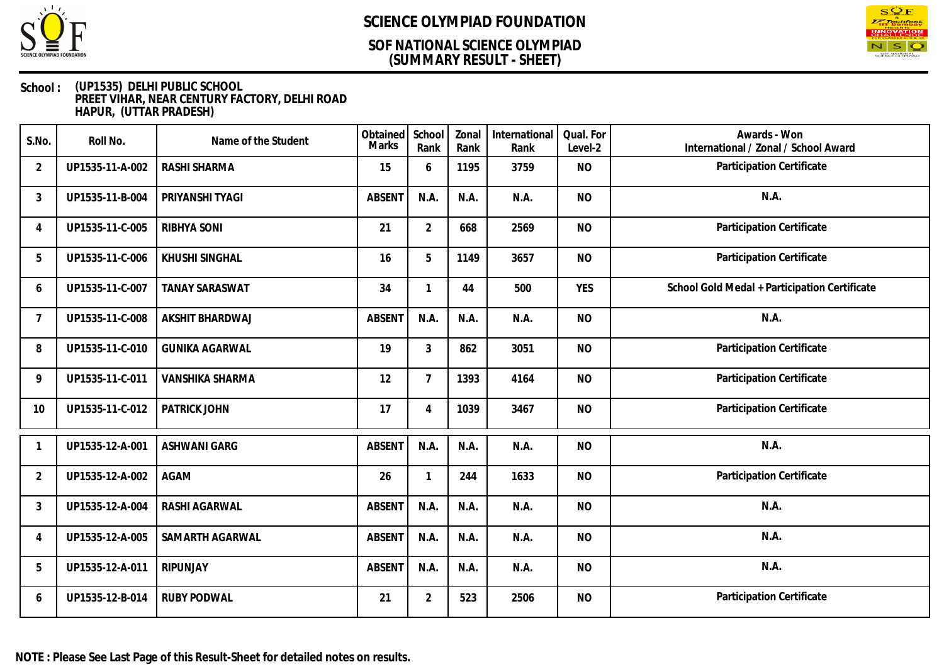

### **(SUMMARY RESULT - SHEET) SOF NATIONAL SCIENCE OLYMPIAD**



#### **School : (UP1535) DELHI PUBLIC SCHOOL PREET VIHAR, NEAR CENTURY FACTORY, DELHI ROAD HAPUR, (UTTAR PRADESH)**

| S.No.          | Roll No.        | Name of the Student   | Obtained<br>Marks | School<br>Rank | Zonal<br>Rank | International<br>Rank | Qual. For<br>Level-2 | Awards - Won<br>International / Zonal / School Award |
|----------------|-----------------|-----------------------|-------------------|----------------|---------------|-----------------------|----------------------|------------------------------------------------------|
| $\overline{2}$ | UP1535-11-A-002 | RASHI SHARMA          | 15                | 6              | 1195          | 3759                  | <b>NO</b>            | Participation Certificate                            |
| 3              | UP1535-11-B-004 | PRIYANSHI TYAGI       | <b>ABSENT</b>     | N.A.           | N.A.          | N.A.                  | <b>NO</b>            | N.A.                                                 |
| 4              | UP1535-11-C-005 | <b>RIBHYA SONI</b>    | 21                | $\overline{2}$ | 668           | 2569                  | <b>NO</b>            | Participation Certificate                            |
| 5              | UP1535-11-C-006 | KHUSHI SINGHAL        | 16                | 5              | 1149          | 3657                  | <b>NO</b>            | Participation Certificate                            |
| 6              | UP1535-11-C-007 | <b>TANAY SARASWAT</b> | 34                | 1              | 44            | 500                   | <b>YES</b>           | School Gold Medal + Participation Certificate        |
| 7              | UP1535-11-C-008 | AKSHIT BHARDWAJ       | <b>ABSENT</b>     | N.A.           | N.A.          | N.A.                  | <b>NO</b>            | N.A.                                                 |
| 8              | UP1535-11-C-010 | <b>GUNIKA AGARWAL</b> | 19                | $\mathfrak{Z}$ | 862           | 3051                  | <b>NO</b>            | Participation Certificate                            |
| 9              | UP1535-11-C-011 | VANSHIKA SHARMA       | 12                | $\overline{7}$ | 1393          | 4164                  | <b>NO</b>            | Participation Certificate                            |
| 10             | UP1535-11-C-012 | PATRICK JOHN          | 17                | $\overline{4}$ | 1039          | 3467                  | <b>NO</b>            | Participation Certificate                            |
|                | UP1535-12-A-001 | ASHWANI GARG          | <b>ABSENT</b>     | N.A.           | N.A.          | N.A.                  | <b>NO</b>            | N.A.                                                 |
| $\overline{2}$ | UP1535-12-A-002 | <b>AGAM</b>           | 26                | 1              | 244           | 1633                  | <b>NO</b>            | Participation Certificate                            |
| 3              | UP1535-12-A-004 | RASHI AGARWAL         | <b>ABSENT</b>     | N.A.           | N.A.          | N.A.                  | <b>NO</b>            | N.A.                                                 |
| 4              | UP1535-12-A-005 | SAMARTH AGARWAL       | <b>ABSENT</b>     | N.A.           | N.A.          | N.A.                  | <b>NO</b>            | N.A.                                                 |
| 5              | UP1535-12-A-011 | RIPUNJAY              | <b>ABSENT</b>     | N.A.           | N.A.          | N.A.                  | <b>NO</b>            | N.A.                                                 |
| 6              | UP1535-12-B-014 | <b>RUBY PODWAL</b>    | 21                | $\overline{2}$ | 523           | 2506                  | <b>NO</b>            | Participation Certificate                            |